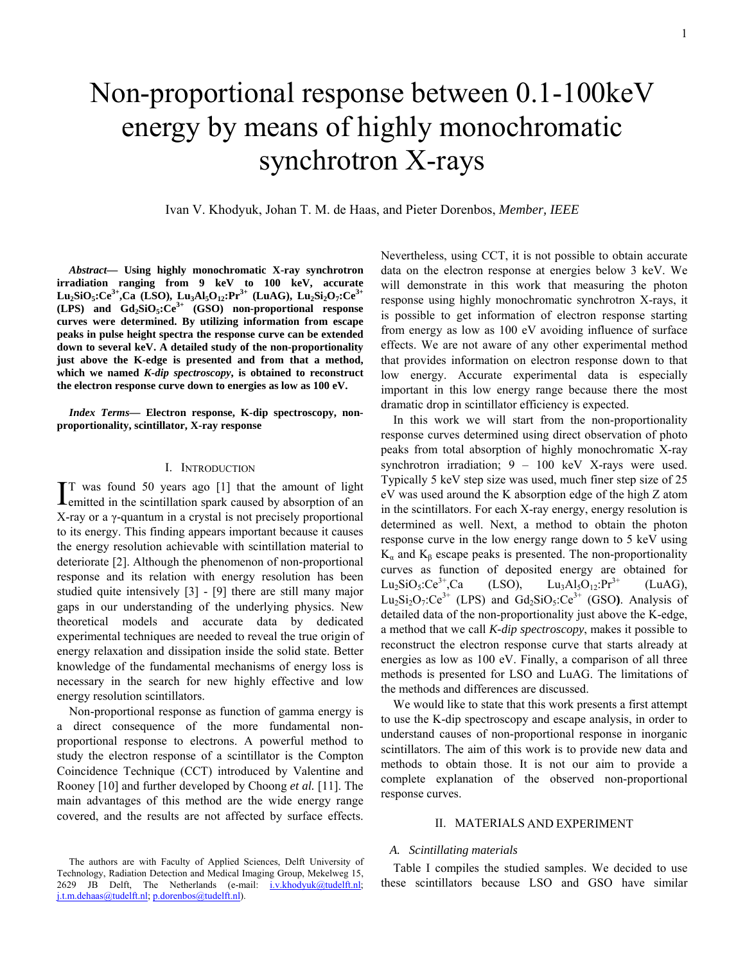# Non-proportional response between 0.1-100keV energy by means of highly monochromatic synchrotron X-rays

Ivan V. Khodyuk, Johan T. M. de Haas, and Pieter Dorenbos, *Member, IEEE*

*Abstract***— Using highly monochromatic X-ray synchrotron irradiation ranging from 9 keV to 100 keV, accurate Lu2SiO5:Ce3+,Ca (LSO), Lu3Al5O12:Pr3+ (LuAG), Lu2Si2O7:Ce3+ (LPS) and Gd2SiO5:Ce3+ (GSO) non-proportional response curves were determined. By utilizing information from escape peaks in pulse height spectra the response curve can be extended down to several keV. A detailed study of the non-proportionality just above the K-edge is presented and from that a method, which we named** *K-dip spectroscopy***, is obtained to reconstruct the electron response curve down to energies as low as 100 eV.** 

*Index Terms***— Electron response, K-dip spectroscopy, nonproportionality, scintillator, X-ray response** 

# I. INTRODUCTION

T was found 50 years ago [1] that the amount of light IT was found 50 years ago [1] that the amount of light emitted in the scintillation spark caused by absorption of an X-ray or a γ-quantum in a crystal is not precisely proportional to its energy. This finding appears important because it causes the energy resolution achievable with scintillation material to deteriorate [2]. Although the phenomenon of non-proportional response and its relation with energy resolution has been studied quite intensively [3] - [9] there are still many major gaps in our understanding of the underlying physics. New theoretical models and accurate data by dedicated experimental techniques are needed to reveal the true origin of energy relaxation and dissipation inside the solid state. Better knowledge of the fundamental mechanisms of energy loss is necessary in the search for new highly effective and low energy resolution scintillators.

Non-proportional response as function of gamma energy is a direct consequence of the more fundamental nonproportional response to electrons. A powerful method to study the electron response of a scintillator is the Compton Coincidence Technique (CCT) introduced by Valentine and Rooney [10] and further developed by Choong *et al.* [11]. The main advantages of this method are the wide energy range covered, and the results are not affected by surface effects.

Nevertheless, using CCT, it is not possible to obtain accurate data on the electron response at energies below 3 keV. We will demonstrate in this work that measuring the photon response using highly monochromatic synchrotron X-rays, it is possible to get information of electron response starting from energy as low as 100 eV avoiding influence of surface effects. We are not aware of any other experimental method that provides information on electron response down to that low energy. Accurate experimental data is especially important in this low energy range because there the most dramatic drop in scintillator efficiency is expected.

In this work we will start from the non-proportionality response curves determined using direct observation of photo peaks from total absorption of highly monochromatic X-ray synchrotron irradiation; 9 – 100 keV X-rays were used. Typically 5 keV step size was used, much finer step size of 25 eV was used around the K absorption edge of the high Z atom in the scintillators. For each X-ray energy, energy resolution is determined as well. Next, a method to obtain the photon response curve in the low energy range down to 5 keV using  $K_{\alpha}$  and  $K_{\beta}$  escape peaks is presented. The non-proportionality curves as function of deposited energy are obtained for  $Lu_2SiO_5:Ce^{3+}$ , Ca (LSO),  $Lu_3Al_5O_{12}:Pr^{3+}$  (LuAG),  $Lu_2Si_2O_7:Ce^{3+}$  (LPS) and  $Gd_2SiO_5:Ce^{3+}$  (GSO). Analysis of detailed data of the non-proportionality just above the K-edge, a method that we call *K-dip spectroscopy*, makes it possible to reconstruct the electron response curve that starts already at energies as low as 100 eV. Finally, a comparison of all three methods is presented for LSO and LuAG. The limitations of the methods and differences are discussed.

We would like to state that this work presents a first attempt to use the K-dip spectroscopy and escape analysis, in order to understand causes of non-proportional response in inorganic scintillators. The aim of this work is to provide new data and methods to obtain those. It is not our aim to provide a complete explanation of the observed non-proportional response curves.

# II. MATERIALS AND EXPERIMENT

#### *A. Scintillating materials*

Table I compiles the studied samples. We decided to use these scintillators because LSO and GSO have similar

The authors are with Faculty of Applied Sciences, Delft University of Technology, Radiation Detection and Medical Imaging Group, Mekelweg 15, 2629 JB Delft, The Netherlands (e-mail: [i.v.khodyuk@tudelft.nl;](mailto:i.v.khodyuk@tudelft.nl) [j.t.m.dehaas@tudelft.nl;](mailto:j.t.m.dehaas@tudelft.nl) [p.dorenbos@tudelft.nl\)](mailto:p.dorenbos@tudelft.nl).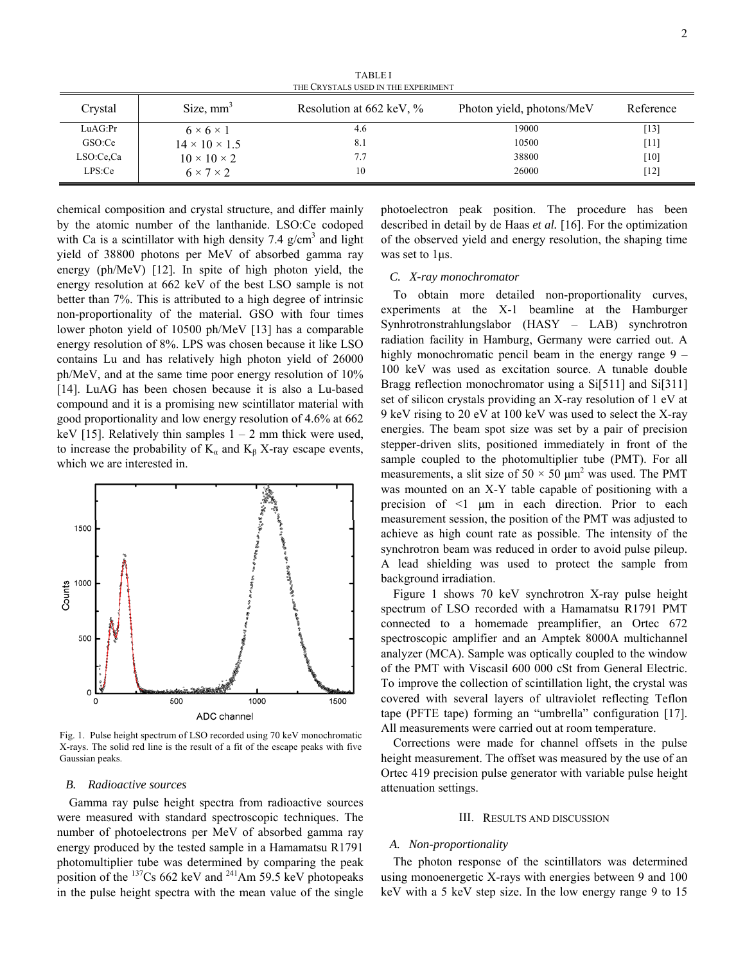TABLE I THE CRYSTALS USED IN THE EXPERIMENT

| Crystal   | Size, $mm3$               | Resolution at $662 \text{ keV}, \%$ | Photon yield, photons/MeV | Reference |
|-----------|---------------------------|-------------------------------------|---------------------------|-----------|
| LuAG:Pr   | $6 \times 6 \times 1$     | 4.6                                 | 19000                     | $[13]$    |
| GSO:Ce    | $14 \times 10 \times 1.5$ | 8.1                                 | 10500                     | $[11]$    |
| LSO:Ce,Ca | $10 \times 10 \times 2$   | 7.7                                 | 38800                     | [10]      |
| LPS:Ce    | $6 \times 7 \times 2$     | 10                                  | 26000                     | $[12]$    |

chemical composition and crystal structure, and differ mainly by the atomic number of the lanthanide. LSO:Ce codoped with Ca is a scintillator with high density 7.4  $g/cm<sup>3</sup>$  and light yield of 38800 photons per MeV of absorbed gamma ray energy (ph/MeV) [12]. In spite of high photon yield, the energy resolution at 662 keV of the best LSO sample is not better than 7%. This is attributed to a high degree of intrinsic non-proportionality of the material. GSO with four times lower photon yield of 10500 ph/MeV [13] has a comparable energy resolution of 8%. LPS was chosen because it like LSO contains Lu and has relatively high photon yield of 26000 ph/MeV, and at the same time poor energy resolution of 10% [14]. LuAG has been chosen because it is also a Lu-based compound and it is a promising new scintillator material with good proportionality and low energy resolution of 4.6% at 662 keV [15]. Relatively thin samples  $1 - 2$  mm thick were used, to increase the probability of  $K_a$  and  $K_b$  X-ray escape events, which we are interested in.



Fig. 1. Pulse height spectrum of LSO recorded using 70 keV monochromatic X-rays. The solid red line is the result of a fit of the escape peaks with five Gaussian peaks.

# *B. Radioactive sources*

Gamma ray pulse height spectra from radioactive sources were measured with standard spectroscopic techniques. The number of photoelectrons per MeV of absorbed gamma ray energy produced by the tested sample in a Hamamatsu R1791 photomultiplier tube was determined by comparing the peak position of the  $^{137}Cs$  662 keV and  $^{241}Am$  59.5 keV photopeaks in the pulse height spectra with the mean value of the single

photoelectron peak position. The procedure has been described in detail by de Haas *et al.* [16]. For the optimization of the observed yield and energy resolution, the shaping time was set to 1μs.

# *C. X-ray monochromator*

To obtain more detailed non-proportionality curves, experiments at the X-1 beamline at the Hamburger Synhrotronstrahlungslabor (HASY – LAB) synchrotron radiation facility in Hamburg, Germany were carried out. A highly monochromatic pencil beam in the energy range 9 – 100 keV was used as excitation source. A tunable double Bragg reflection monochromator using a Si[511] and Si[311] set of silicon crystals providing an X-ray resolution of 1 eV at 9 keV rising to 20 eV at 100 keV was used to select the X-ray energies. The beam spot size was set by a pair of precision stepper-driven slits, positioned immediately in front of the sample coupled to the photomultiplier tube (PMT). For all measurements, a slit size of  $50 \times 50 \mu m^2$  was used. The PMT was mounted on an X-Y table capable of positioning with a precision of <1 μm in each direction. Prior to each measurement session, the position of the PMT was adjusted to achieve as high count rate as possible. The intensity of the synchrotron beam was reduced in order to avoid pulse pileup. A lead shielding was used to protect the sample from background irradiation.

Figure 1 shows 70 keV synchrotron X-ray pulse height spectrum of LSO recorded with a Hamamatsu R1791 PMT connected to a homemade preamplifier, an Ortec 672 spectroscopic amplifier and an Amptek 8000A multichannel analyzer (MCA). Sample was optically coupled to the window of the PMT with Viscasil 600 000 cSt from General Electric. To improve the collection of scintillation light, the crystal was covered with several layers of ultraviolet reflecting Teflon tape (PFTE tape) forming an "umbrella" configuration [17]. All measurements were carried out at room temperature.

Corrections were made for channel offsets in the pulse height measurement. The offset was measured by the use of an Ortec 419 precision pulse generator with variable pulse height attenuation settings.

#### III. RESULTS AND DISCUSSION

# *A. Non-proportionality*

The photon response of the scintillators was determined using monoenergetic X-rays with energies between 9 and 100 keV with a 5 keV step size. In the low energy range 9 to 15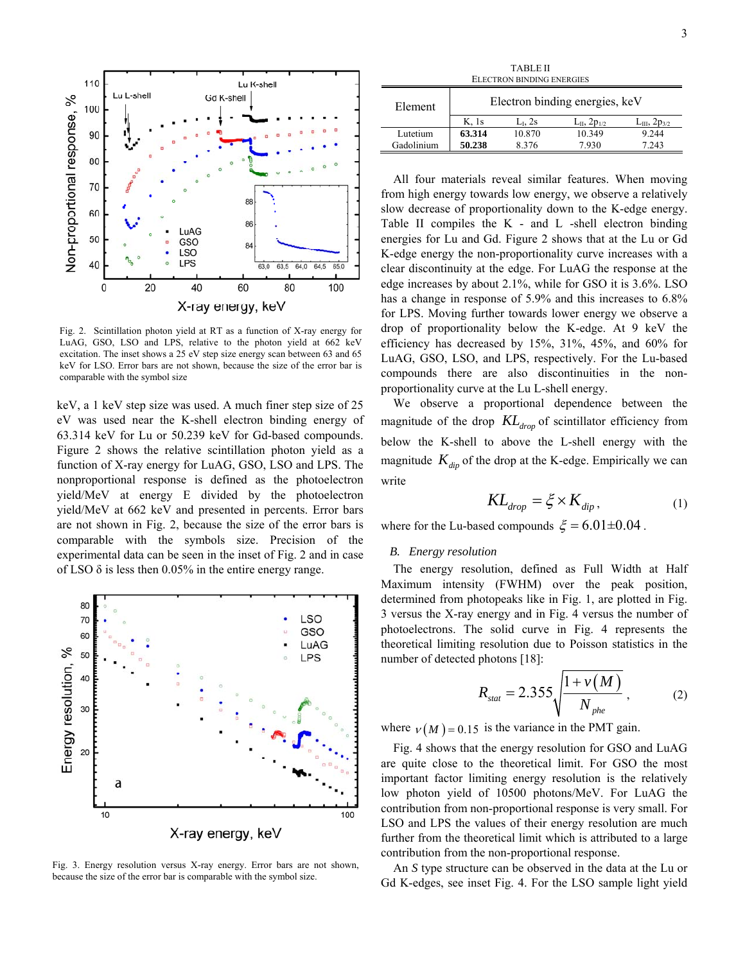

Fig. 2. Scintillation photon yield at RT as a function of X-ray energy for LuAG, GSO, LSO and LPS, relative to the photon yield at 662 keV excitation. The inset shows a 25 eV step size energy scan between 63 and 65 keV for LSO. Error bars are not shown, because the size of the error bar is comparable with the symbol size

keV, a 1 keV step size was used. A much finer step size of 25 eV was used near the K-shell electron binding energy of 63.314 keV for Lu or 50.239 keV for Gd-based compounds. Figure 2 shows the relative scintillation photon yield as a function of X-ray energy for LuAG, GSO, LSO and LPS. The nonproportional response is defined as the photoelectron yield/MeV at energy E divided by the photoelectron yield/MeV at 662 keV and presented in percents. Error bars are not shown in Fig. 2, because the size of the error bars is comparable with the symbols size. Precision of the experimental data can be seen in the inset of Fig. 2 and in case of LSO  $\delta$  is less then 0.05% in the entire energy range.



Fig. 3. Energy resolution versus X-ray energy. Error bars are not shown, because the size of the error bar is comparable with the symbol size.

| TABLE II                  |                                |           |                        |                         |  |  |  |
|---------------------------|--------------------------------|-----------|------------------------|-------------------------|--|--|--|
| ELECTRON BINDING ENERGIES |                                |           |                        |                         |  |  |  |
| Element                   | Electron binding energies, keV |           |                        |                         |  |  |  |
|                           | K. 1s                          | $LL$ , 2s | $L_{II}$ , 2 $p_{1/2}$ | $L_{III}$ , 2 $p_{3/2}$ |  |  |  |
| Lutetium                  | 63.314                         | 10.870    | 10.349                 | 9.244                   |  |  |  |
| Gadolinium                | 50.238                         | 8.376     | 7.930                  | 7.243                   |  |  |  |

All four materials reveal similar features. When moving from high energy towards low energy, we observe a relatively slow decrease of proportionality down to the K-edge energy. Table II compiles the K - and L -shell electron binding energies for Lu and Gd. Figure 2 shows that at the Lu or Gd K-edge energy the non-proportionality curve increases with a clear discontinuity at the edge. For LuAG the response at the edge increases by about 2.1%, while for GSO it is 3.6%. LSO has a change in response of 5.9% and this increases to  $6.8\%$ for LPS. Moving further towards lower energy we observe a drop of proportionality below the K-edge. At 9 keV the efficiency has decreased by 15%, 31%, 45%, and 60% for LuAG, GSO, LSO, and LPS, respectively. For the Lu-based compounds there are also discontinuities in the nonproportionality curve at the Lu L-shell energy.

We observe a proportional dependence between the magnitude of the drop  $KL_{drop}$  of scintillator efficiency from below the K-shell to above the L-shell energy with the magnitude  $K_{dip}$  of the drop at the K-edge. Empirically we can write

$$
KL_{drop} = \xi \times K_{dip},\tag{1}
$$

where for the Lu-based compounds  $\xi = 6.01 \pm 0.04$ .

#### *B. Energy resolution*

The energy resolution, defined as Full Width at Half Maximum intensity (FWHM) over the peak position, determined from photopeaks like in Fig. 1, are plotted in Fig. 3 versus the X-ray energy and in Fig. 4 versus the number of photoelectrons. The solid curve in Fig. 4 represents the theoretical limiting resolution due to Poisson statistics in the number of detected photons [18]:

$$
R_{\text{stat}} = 2.355 \sqrt{\frac{1 + v(M)}{N_{\text{phe}}}}, \tag{2}
$$

where  $v(M) = 0.15$  is the variance in the PMT gain.

Fig. 4 shows that the energy resolution for GSO and LuAG are quite close to the theoretical limit. For GSO the most important factor limiting energy resolution is the relatively low photon yield of 10500 photons/MeV. For LuAG the contribution from non-proportional response is very small. For LSO and LPS the values of their energy resolution are much further from the theoretical limit which is attributed to a large contribution from the non-proportional response.

An *S* type structure can be observed in the data at the Lu or Gd K-edges, see inset Fig. 4. For the LSO sample light yield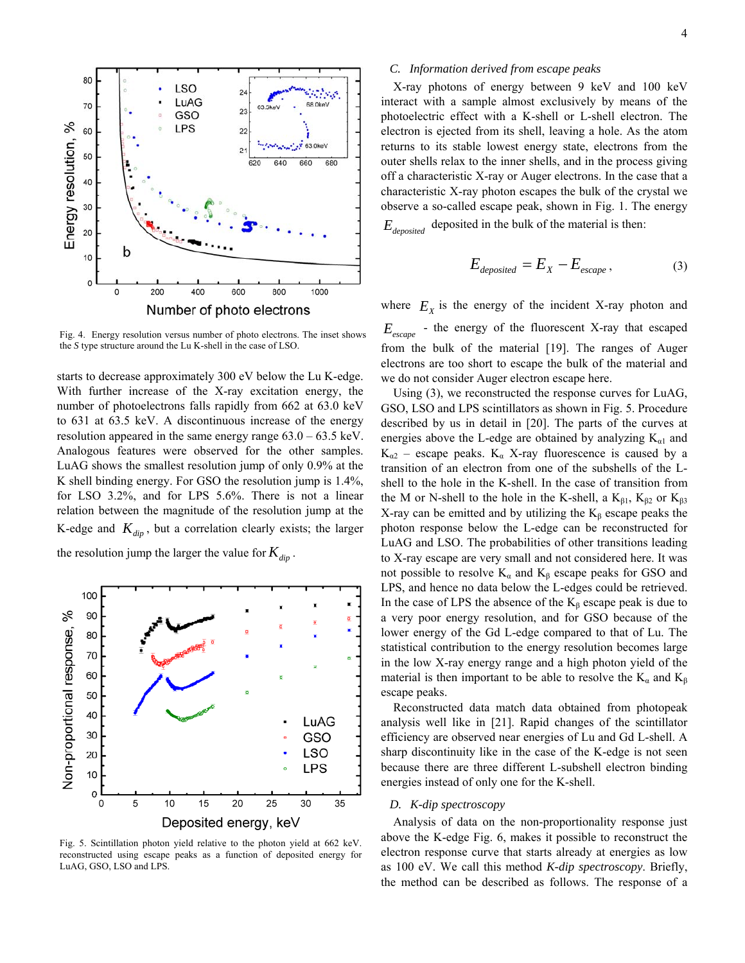

Fig. 4. Energy resolution versus number of photo electrons. The inset shows the *S* type structure around the Lu K-shell in the case of LSO.

starts to decrease approximately 300 eV below the Lu K-edge. With further increase of the X-ray excitation energy, the number of photoelectrons falls rapidly from 662 at 63.0 keV to 631 at 63.5 keV. A discontinuous increase of the energy resolution appeared in the same energy range 63.0 – 63.5 keV. Analogous features were observed for the other samples. LuAG shows the smallest resolution jump of only 0.9% at the K shell binding energy. For GSO the resolution jump is 1.4%, for LSO 3.2%, and for LPS 5.6%. There is not a linear relation between the magnitude of the resolution jump at the K-edge and  $K_{dip}$ , but a correlation clearly exists; the larger

the resolution jump the larger the value for  $K_{\text{dip}}$ .



Fig. 5. Scintillation photon yield relative to the photon yield at 662 keV. reconstructed using escape peaks as a function of deposited energy for LuAG, GSO, LSO and LPS.

# *C. Information derived from escape peaks*

X-ray photons of energy between 9 keV and 100 keV interact with a sample almost exclusively by means of the photoelectric effect with a K-shell or L-shell electron. The electron is ejected from its shell, leaving a hole. As the atom returns to its stable lowest energy state, electrons from the outer shells relax to the inner shells, and in the process giving off a characteristic X-ray or Auger electrons. In the case that a characteristic X-ray photon escapes the bulk of the crystal we observe a so-called escape peak, shown in Fig. 1. The energy  $E_{\text{deposited}}$  deposited in the bulk of the material is then:

$$
E_{deposited} = E_X - E_{escape}, \tag{3}
$$

where  $E<sub>x</sub>$  is the energy of the incident X-ray photon and - the energy of the fluorescent X-ray that escaped *E escape* from the bulk of the material [19]. The ranges of Auger electrons are too short to escape the bulk of the material and we do not consider Auger electron escape here.

Using (3), we reconstructed the response curves for LuAG, GSO, LSO and LPS scintillators as shown in Fig. 5. Procedure described by us in detail in [20]. The parts of the curves at energies above the L-edge are obtained by analyzing  $K_{\alpha 1}$  and  $K_{\alpha 2}$  – escape peaks.  $K_{\alpha}$  X-ray fluorescence is caused by a transition of an electron from one of the subshells of the Lshell to the hole in the K-shell. In the case of transition from the M or N-shell to the hole in the K-shell, a  $K_{\beta1}$ ,  $K_{\beta2}$  or  $K_{\beta3}$ X-ray can be emitted and by utilizing the  $K_\beta$  escape peaks the photon response below the L-edge can be reconstructed for LuAG and LSO. The probabilities of other transitions leading to X-ray escape are very small and not considered here. It was not possible to resolve  $K_{\alpha}$  and  $K_{\beta}$  escape peaks for GSO and LPS, and hence no data below the L-edges could be retrieved. In the case of LPS the absence of the  $K_\beta$  escape peak is due to a very poor energy resolution, and for GSO because of the lower energy of the Gd L-edge compared to that of Lu. The statistical contribution to the energy resolution becomes large in the low X-ray energy range and a high photon yield of the material is then important to be able to resolve the  $K_{\alpha}$  and  $K_{\beta}$ escape peaks.

Reconstructed data match data obtained from photopeak analysis well like in [21]. Rapid changes of the scintillator efficiency are observed near energies of Lu and Gd L-shell. A sharp discontinuity like in the case of the K-edge is not seen because there are three different L-subshell electron binding energies instead of only one for the K-shell.

# *D. K-dip spectroscopy*

Analysis of data on the non-proportionality response just above the K-edge Fig. 6, makes it possible to reconstruct the electron response curve that starts already at energies as low as 100 eV. We call this method *K-dip spectroscopy*. Briefly, the method can be described as follows. The response of a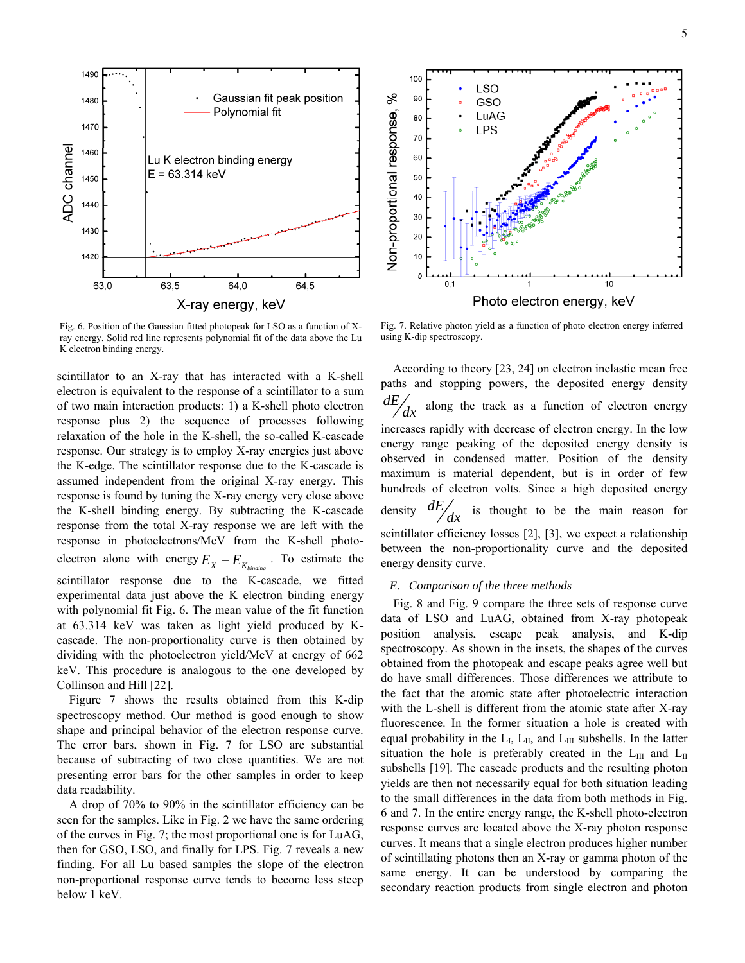

Fig. 6. Position of the Gaussian fitted photopeak for LSO as a function of Xray energy. Solid red line represents polynomial fit of the data above the Lu K electron binding energy.

scintillator to an X-ray that has interacted with a K-shell electron is equivalent to the response of a scintillator to a sum of two main interaction products: 1) a K-shell photo electron response plus 2) the sequence of processes following relaxation of the hole in the K-shell, the so-called K-cascade response. Our strategy is to employ X-ray energies just above the K-edge. The scintillator response due to the K-cascade is assumed independent from the original X-ray energy. This response is found by tuning the X-ray energy very close above the K-shell binding energy. By subtracting the K-cascade response from the total X-ray response we are left with the response in photoelectrons/MeV from the K-shell photoelectron alone with energy  $E_X - E_{K_{binding}}$ . To estimate the scintillator response due to the K-cascade, we fitted experimental data just above the K electron binding energy with polynomial fit Fig. 6. The mean value of the fit function at 63.314 keV was taken as light yield produced by Kcascade. The non-proportionality curve is then obtained by dividing with the photoelectron yield/MeV at energy of 662 keV. This procedure is analogous to the one developed by Collinson and Hill [22].

Figure 7 shows the results obtained from this K-dip spectroscopy method. Our method is good enough to show shape and principal behavior of the electron response curve. The error bars, shown in Fig. 7 for LSO are substantial because of subtracting of two close quantities. We are not presenting error bars for the other samples in order to keep data readability.

A drop of 70% to 90% in the scintillator efficiency can be seen for the samples. Like in Fig. 2 we have the same ordering of the curves in Fig. 7; the most proportional one is for LuAG, then for GSO, LSO, and finally for LPS. Fig. 7 reveals a new finding. For all Lu based samples the slope of the electron non-proportional response curve tends to become less steep below 1 keV.



Fig. 7. Relative photon yield as a function of photo electron energy inferred using K-dip spectroscopy.

According to theory [23, 24] on electron inelastic mean free paths and stopping powers, the deposited energy density  $\frac{dE}{dx}$  along the track as a function of electron energy increases rapidly with decrease of electron energy. In the low energy range peaking of the deposited energy density is observed in condensed matter. Position of the density maximum is material dependent, but is in order of few hundreds of electron volts. Since a high deposited energy density  $\frac{dE}{dx}$  is thought to be the main reason for scintillator efficiency losses [2], [3], we expect a relationship between the non-proportionality curve and the deposited energy density curve.

## *E. Comparison of the three methods*

Fig. 8 and Fig. 9 compare the three sets of response curve data of LSO and LuAG, obtained from X-ray photopeak position analysis, escape peak analysis, and K-dip spectroscopy. As shown in the insets, the shapes of the curves obtained from the photopeak and escape peaks agree well but do have small differences. Those differences we attribute to the fact that the atomic state after photoelectric interaction with the L-shell is different from the atomic state after X-ray fluorescence. In the former situation a hole is created with equal probability in the  $L_I$ ,  $L_{II}$ , and  $L_{III}$  subshells. In the latter situation the hole is preferably created in the  $L_{III}$  and  $L_{II}$ subshells [19]. The cascade products and the resulting photon yields are then not necessarily equal for both situation leading to the small differences in the data from both methods in Fig. 6 and 7. In the entire energy range, the K-shell photo-electron response curves are located above the X-ray photon response curves. It means that a single electron produces higher number of scintillating photons then an X-ray or gamma photon of the same energy. It can be understood by comparing the secondary reaction products from single electron and photon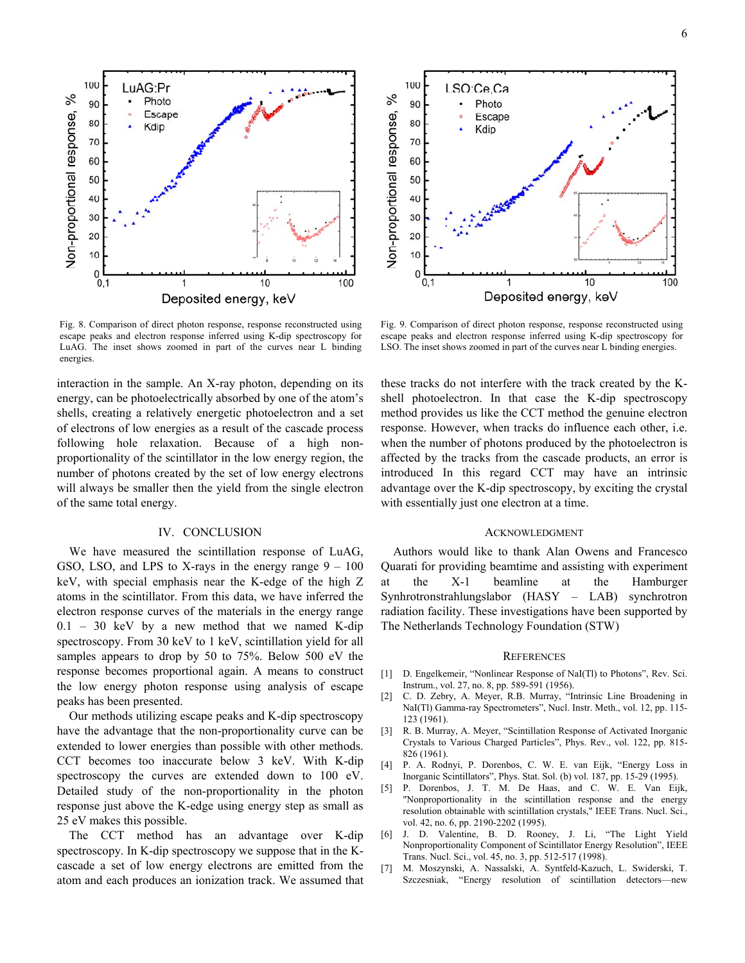Escape Non-proportional response, 80 Kdip 70 60 50 40 30 20 10 0  $0, 1$ 10 100 Deposited energy, keV Fig. 8. Comparison of direct photon response, response reconstructed using

100

90

 $\%$ 

LuAG:Pr

Photo

escape peaks and electron response inferred using K-dip spectroscopy for LuAG. The inset shows zoomed in part of the curves near L binding energies.

interaction in the sample. An X-ray photon, depending on its energy, can be photoelectrically absorbed by one of the atom's shells, creating a relatively energetic photoelectron and a set of electrons of low energies as a result of the cascade process following hole relaxation. Because of a high nonproportionality of the scintillator in the low energy region, the number of photons created by the set of low energy electrons will always be smaller then the yield from the single electron of the same total energy.

# IV. CONCLUSION

We have measured the scintillation response of LuAG, GSO, LSO, and LPS to X-rays in the energy range  $9 - 100$ keV, with special emphasis near the K-edge of the high Z atoms in the scintillator. From this data, we have inferred the electron response curves of the materials in the energy range 0.1 – 30 keV by a new method that we named K-dip spectroscopy. From 30 keV to 1 keV, scintillation yield for all samples appears to drop by 50 to 75%. Below 500 eV the response becomes proportional again. A means to construct the low energy photon response using analysis of escape peaks has been presented.

Our methods utilizing escape peaks and K-dip spectroscopy have the advantage that the non-proportionality curve can be extended to lower energies than possible with other methods. CCT becomes too inaccurate below 3 keV. With K-dip spectroscopy the curves are extended down to 100 eV. Detailed study of the non-proportionality in the photon response just above the K-edge using energy step as small as 25 eV makes this possible.

The CCT method has an advantage over K-dip spectroscopy. In K-dip spectroscopy we suppose that in the Kcascade a set of low energy electrons are emitted from the atom and each produces an ionization track. We assumed that

20  $10$  $\mathbf 0$ 0, 10 100 Deposited energy, keV Fig. 9. Comparison of direct photon response, response reconstructed using

escape peaks and electron response inferred using K-dip spectroscopy for LSO. The inset shows zoomed in part of the curves near L binding energies.

these tracks do not interfere with the track created by the Kshell photoelectron. In that case the K-dip spectroscopy method provides us like the CCT method the genuine electron response. However, when tracks do influence each other, i.e. when the number of photons produced by the photoelectron is affected by the tracks from the cascade products, an error is introduced In this regard CCT may have an intrinsic advantage over the K-dip spectroscopy, by exciting the crystal with essentially just one electron at a time.

#### ACKNOWLEDGMENT

Authors would like to thank Alan Owens and Francesco Quarati for providing beamtime and assisting with experiment at the X-1 beamline at the Hamburger Synhrotronstrahlungslabor (HASY – LAB) synchrotron radiation facility. These investigations have been supported by The Netherlands Technology Foundation (STW)

#### **REFERENCES**

- [1] D. Engelkemeir, "Nonlinear Response of NaI(Tl) to Photons", Rev. Sci. Instrum., vol. 27, no. 8, pp. 589-591 (1956).
- [2] C. D. Zebry, A. Meyer, R.B. Murray, "Intrinsic Line Broadening in NaI(Tl) Gamma-ray Spectrometers", Nucl. Instr. Meth., vol. 12, pp. 115-123 (1961).
- [3] R. B. Murray, A. Meyer, "Scintillation Response of Activated Inorganic Crystals to Various Charged Particles", Phys. Rev., vol. 122, pp. 815- 826 (1961).
- [4] P. A. Rodnyi, P. Dorenbos, C. W. E. van Eijk, "Energy Loss in Inorganic Scintillators", Phys. Stat. Sol. (b) vol. 187, pp. 15-29 (1995).
- [5] P. Dorenbos, J. T. M. De Haas, and C. W. E. Van Eijk, "Nonproportionality in the scintillation response and the energy resolution obtainable with scintillation crystals," IEEE Trans. Nucl. Sci., vol. 42, no. 6, pp. 2190-2202 (1995).
- [6] J. D. Valentine, B. D. Rooney, J. Li, "The Light Yield Nonproportionality Component of Scintillator Energy Resolution", IEEE Trans. Nucl. Sci., vol. 45, no. 3, pp. 512-517 (1998).
- [7] M. Moszynski, A. Nassalski, A. Syntfeld-Kazuch, L. Swiderski, T. Szczesniak, "Energy resolution of scintillation detectors—new